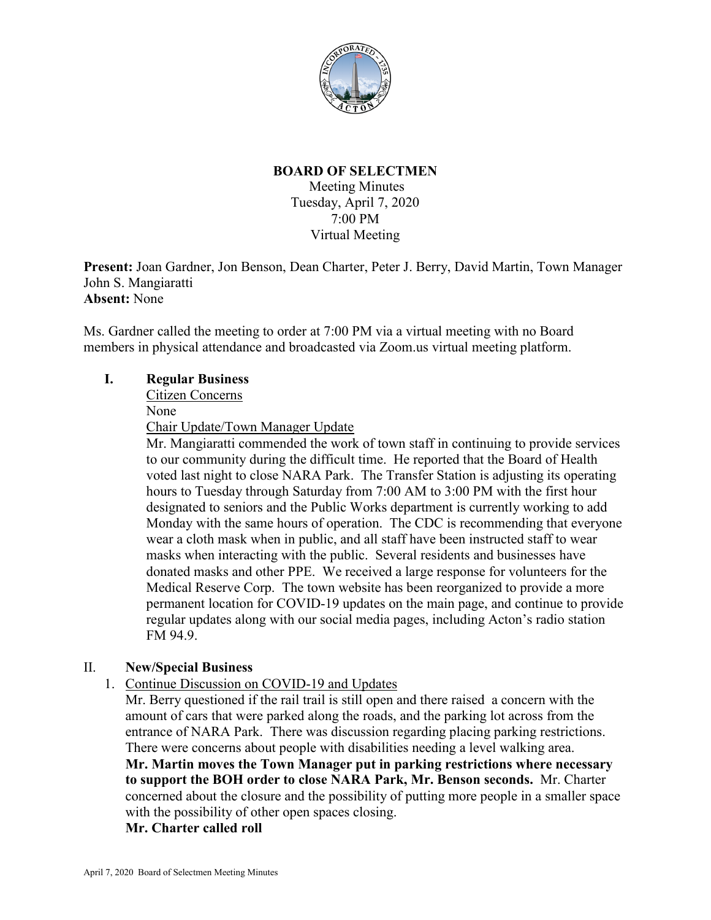

# **BOARD OF SELECTMEN**

Meeting Minutes Tuesday, April 7, 2020 7:00 PM Virtual Meeting

**Present:** Joan Gardner, Jon Benson, Dean Charter, Peter J. Berry, David Martin, Town Manager John S. Mangiaratti **Absent:** None

Ms. Gardner called the meeting to order at 7:00 PM via a virtual meeting with no Board members in physical attendance and broadcasted via Zoom.us virtual meeting platform.

# **I. Regular Business**

Citizen Concerns

None

Chair Update/Town Manager Update

Mr. Mangiaratti commended the work of town staff in continuing to provide services to our community during the difficult time. He reported that the Board of Health voted last night to close NARA Park. The Transfer Station is adjusting its operating hours to Tuesday through Saturday from 7:00 AM to 3:00 PM with the first hour designated to seniors and the Public Works department is currently working to add Monday with the same hours of operation. The CDC is recommending that everyone wear a cloth mask when in public, and all staff have been instructed staff to wear masks when interacting with the public. Several residents and businesses have donated masks and other PPE. We received a large response for volunteers for the Medical Reserve Corp. The town website has been reorganized to provide a more permanent location for COVID-19 updates on the main page, and continue to provide regular updates along with our social media pages, including Acton's radio station FM 94.9.

# II. **New/Special Business**

1. Continue Discussion on COVID-19 and Updates

Mr. Berry questioned if the rail trail is still open and there raised a concern with the amount of cars that were parked along the roads, and the parking lot across from the entrance of NARA Park. There was discussion regarding placing parking restrictions. There were concerns about people with disabilities needing a level walking area. **Mr. Martin moves the Town Manager put in parking restrictions where necessary to support the BOH order to close NARA Park, Mr. Benson seconds.** Mr. Charter concerned about the closure and the possibility of putting more people in a smaller space with the possibility of other open spaces closing.

## **Mr. Charter called roll**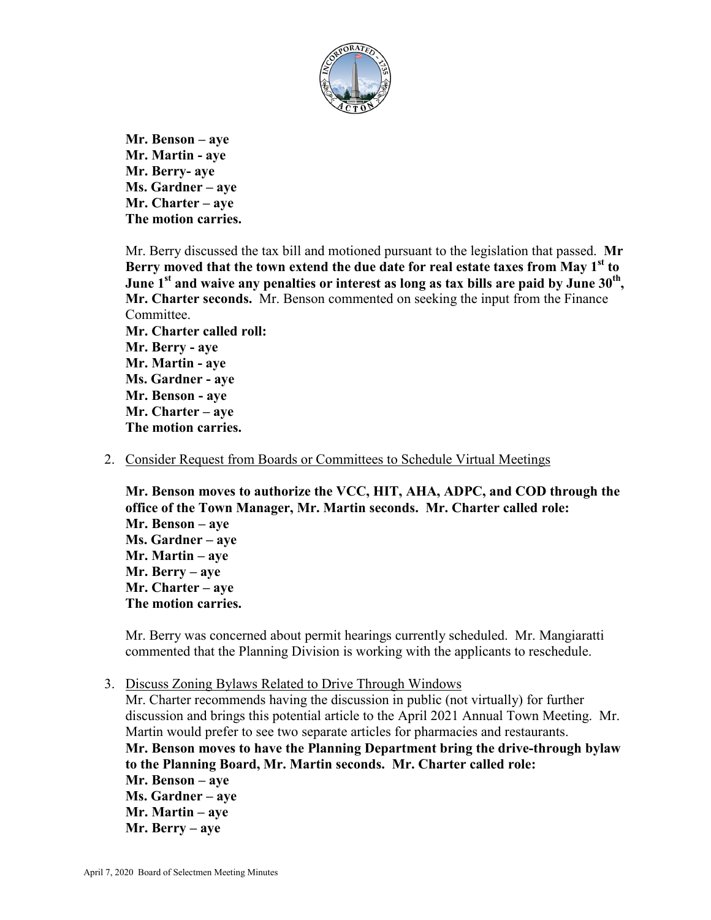

**Mr. Benson – aye Mr. Martin - aye Mr. Berry- aye Ms. Gardner – aye Mr. Charter – aye The motion carries.**

Mr. Berry discussed the tax bill and motioned pursuant to the legislation that passed. **Mr Berry moved that the town extend the due date for real estate taxes from May 1st to**  June 1<sup>st</sup> and waive any penalties or interest as long as tax bills are paid by June 30<sup>th</sup>, **Mr. Charter seconds.** Mr. Benson commented on seeking the input from the Finance Committee. **Mr. Charter called roll: Mr. Berry - aye Mr. Martin - aye Ms. Gardner - aye Mr. Benson - aye Mr. Charter – aye The motion carries.**

2. Consider Request from Boards or Committees to Schedule Virtual Meetings

**Mr. Benson moves to authorize the VCC, HIT, AHA, ADPC, and COD through the office of the Town Manager, Mr. Martin seconds. Mr. Charter called role: Mr. Benson – aye Ms. Gardner – aye Mr. Martin – aye Mr. Berry – aye Mr. Charter – aye The motion carries.**

Mr. Berry was concerned about permit hearings currently scheduled. Mr. Mangiaratti commented that the Planning Division is working with the applicants to reschedule.

3. Discuss Zoning Bylaws Related to Drive Through Windows

Mr. Charter recommends having the discussion in public (not virtually) for further discussion and brings this potential article to the April 2021 Annual Town Meeting. Mr. Martin would prefer to see two separate articles for pharmacies and restaurants. **Mr. Benson moves to have the Planning Department bring the drive-through bylaw to the Planning Board, Mr. Martin seconds. Mr. Charter called role: Mr. Benson – aye Ms. Gardner – aye Mr. Martin – aye Mr. Berry – aye**